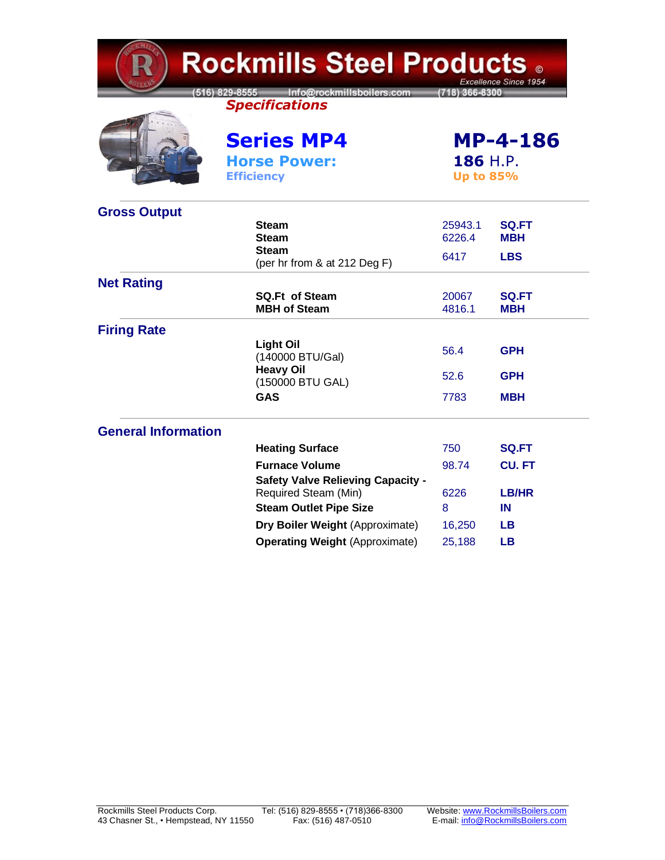| <b>Rockmills Steel Products .</b><br>Excellence Since 1954 |                                                                     |                             |                            |  |  |
|------------------------------------------------------------|---------------------------------------------------------------------|-----------------------------|----------------------------|--|--|
|                                                            | Info@rockmillsboilers.com<br>516) 829-8555<br><b>Specifications</b> | 718) 366-8300               |                            |  |  |
|                                                            | <b>Series MP4</b><br><b>Horse Power:</b>                            | <b>MP-4-186</b><br>186 H.P. |                            |  |  |
|                                                            | <b>Efficiency</b>                                                   |                             | <b>Up to 85%</b>           |  |  |
| <b>Gross Output</b>                                        |                                                                     |                             |                            |  |  |
|                                                            | <b>Steam</b><br><b>Steam</b>                                        | 25943.1<br>6226.4           | <b>SQ.FT</b><br><b>MBH</b> |  |  |
|                                                            | <b>Steam</b><br>(per hr from & at 212 Deg F)                        | 6417                        | <b>LBS</b>                 |  |  |
| <b>Net Rating</b>                                          |                                                                     |                             |                            |  |  |
|                                                            | <b>SQ.Ft of Steam</b><br><b>MBH of Steam</b>                        | 20067<br>4816.1             | <b>SQ.FT</b><br><b>MBH</b> |  |  |
| <b>Firing Rate</b>                                         |                                                                     |                             |                            |  |  |
|                                                            | <b>Light Oil</b><br>(140000 BTU/Gal)                                | 56.4                        | <b>GPH</b>                 |  |  |
|                                                            | <b>Heavy Oil</b><br>(150000 BTU GAL)                                | 52.6                        | <b>GPH</b>                 |  |  |
|                                                            | GAS                                                                 | 7783                        | <b>MBH</b>                 |  |  |
| <b>General Information</b>                                 |                                                                     |                             |                            |  |  |
|                                                            | <b>Heating Surface</b>                                              | 750                         | <b>SQ.FT</b>               |  |  |
|                                                            | <b>Furnace Volume</b>                                               | 98.74                       | <b>CU.FT</b>               |  |  |
|                                                            | <b>Safety Valve Relieving Capacity -</b><br>Required Steam (Min)    | 6226                        | LB/HR                      |  |  |
|                                                            | <b>Steam Outlet Pipe Size</b>                                       | 8                           | IN                         |  |  |
|                                                            | Dry Boiler Weight (Approximate)                                     | 16,250                      | <b>LB</b>                  |  |  |
|                                                            | <b>Operating Weight (Approximate)</b>                               | 25,188                      | <b>LB</b>                  |  |  |

╭